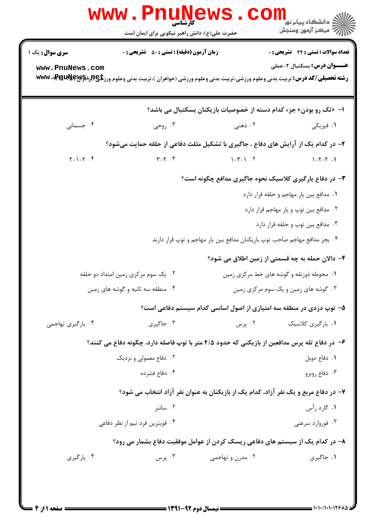|                                                                               | <b>www.Pnunews</b><br>حضرت علی(ع): دانش راهبر نیکویی برای ایمان است                                                                                                                        |                                                                           | ڪ دانشڪاه پيام نور ■<br>// مرکز آزمون وسنڊش                                       |  |  |  |
|-------------------------------------------------------------------------------|--------------------------------------------------------------------------------------------------------------------------------------------------------------------------------------------|---------------------------------------------------------------------------|-----------------------------------------------------------------------------------|--|--|--|
| <b>سری سوال :</b> یک ۱<br>www.PnuNews.com                                     | <b>زمان آزمون (دقیقه) : تستی : 50 ٪ تشریحی : 0</b><br><b>رشته تحصیلی/کد درس:</b> تربیت بدنی وعلوم ورزشی،تربیت بدنی وعلوم ورزشی (خواهران )،تربیت بدنی وعلوم ورز <b>تلی (لېلاپ WWW)، WWW</b> |                                                                           | <b>تعداد سوالات : تستی : 24 گشریحی : 0</b><br><b>عنـــوان درس:</b> بسکتبال ۲-عملی |  |  |  |
|                                                                               |                                                                                                                                                                                            | ا- «تک رو بودن» جزء کدام دسته از خصوصیات بازیکنان بسکتبال می باشد؟        |                                                                                   |  |  |  |
| ۰۴ جسمانی                                                                     | ۰۳ روحی                                                                                                                                                                                    | ۰۲ ذهنی                                                                   | ۰۱ فیزیکی                                                                         |  |  |  |
|                                                                               | ۲- در کدام یک از آرایش های دفاع ، جاگیری با تشکیل مثلث دفاعی از حلقه حمایت میشود؟                                                                                                          |                                                                           |                                                                                   |  |  |  |
| $Y - 1 - Y$ .                                                                 | $\Upsilon-\Upsilon$ . $\Upsilon$                                                                                                                                                           | $\uparrow - \uparrow - \uparrow$ . $\uparrow$                             | $1 - 7 - 7$ .                                                                     |  |  |  |
|                                                                               | ۳- در دفاع یارگیری کلاسیک نحوه جاگیری مدافع چگونه است؟                                                                                                                                     |                                                                           |                                                                                   |  |  |  |
|                                                                               | ٠١ مدافع بين يار مهاجم و حلقه قرار دارد                                                                                                                                                    |                                                                           |                                                                                   |  |  |  |
|                                                                               |                                                                                                                                                                                            |                                                                           | ٠٢ مدافع بين توپ و يار مهاجم قرار دارد                                            |  |  |  |
|                                                                               | ۰۳ مدافع بين توپ و حلقه قرار دارد                                                                                                                                                          |                                                                           |                                                                                   |  |  |  |
|                                                                               |                                                                                                                                                                                            | ۰۴ بجز مدافع مهاجم صاحب توپ بازیکنان مدافع بین یار مهاجم و توپ قرار دارند |                                                                                   |  |  |  |
|                                                                               |                                                                                                                                                                                            |                                                                           | ۴- دالان حمله به چه قسمتی از زمین اطلاق می شود؟                                   |  |  |  |
|                                                                               | ۰۲ یک سوم مرکزی زمین امتداد دو حلقه                                                                                                                                                        | ۰۱ محوطه ذوزنقه و گوشه های خط مرکزی زمین                                  |                                                                                   |  |  |  |
|                                                                               | ۰۴ منطقه سه ثانیه و گوشه های زمین                                                                                                                                                          |                                                                           | ۰۳ گوشه های زمین و یک سوم مرکزی زمین                                              |  |  |  |
|                                                                               |                                                                                                                                                                                            | ۵– توپ دزدی در منطقه سه امتیازی از اصول اساسی کدام سیستم دفاعی است؟       |                                                                                   |  |  |  |
| ۰۴ يارگيري تهاجمي                                                             | ۰۳ جاگیری                                                                                                                                                                                  | ۰۲ پرس                                                                    | ۰۱ يارگيري کلاسيک                                                                 |  |  |  |
|                                                                               | ۶– در دفاع تله پرس مدافعین از بازیکنی که حدود ۴/۵ متر با توپ فاصله دارد، چگونه دفاع می کنند؟                                                                                               |                                                                           |                                                                                   |  |  |  |
|                                                                               | ۰۲ دفاع معمولی و نزدیک                                                                                                                                                                     |                                                                           | ۰۱ دفاع دوبل                                                                      |  |  |  |
|                                                                               | ۰۴ دفاع فشرده                                                                                                                                                                              |                                                                           | ۰۳ دفاع روبرو                                                                     |  |  |  |
|                                                                               | ۷- در دفاع مربع و یک نفر آزاد، کدام یک از بازیکنان به عنوان نفر آزاد انتخاب می شود؟                                                                                                        |                                                                           |                                                                                   |  |  |  |
|                                                                               | ۰۲ سانتر                                                                                                                                                                                   |                                                                           | ۰۱ گارد رأس                                                                       |  |  |  |
|                                                                               | ۰۴ قویترین فرد تیم از نظر دفاعی                                                                                                                                                            |                                                                           | ۰۳ فوروارد سرعتی                                                                  |  |  |  |
| ۸– در کدام یک از سیستم های دفاعی ریسک کردن از عوامل موفقیت دفاع بشمار می رود؟ |                                                                                                                                                                                            |                                                                           |                                                                                   |  |  |  |
| ۰۴ يارگيري                                                                    | ۰۳ پرس                                                                                                                                                                                     | ۰۲ مدرن و تهاجمی                                                          | ۰۱ جاگیری                                                                         |  |  |  |
|                                                                               |                                                                                                                                                                                            |                                                                           |                                                                                   |  |  |  |
|                                                                               |                                                                                                                                                                                            |                                                                           |                                                                                   |  |  |  |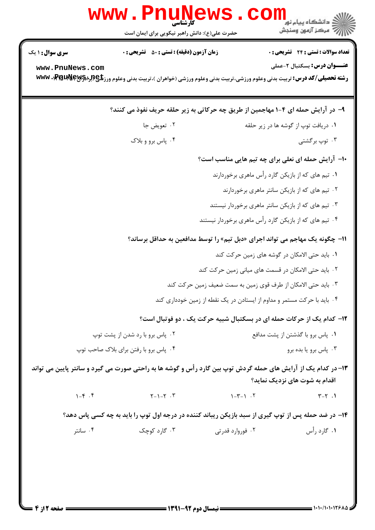| www                                                                                                                                            | حضرت علی(ع): دانش راهبر نیکویی برای ایمان است                                                       |                                               | <mark>د</mark> دانشگاه پيام نو <mark>ر</mark><br>" مرڪز آزمون وسنڊش                                                                                                       |  |  |
|------------------------------------------------------------------------------------------------------------------------------------------------|-----------------------------------------------------------------------------------------------------|-----------------------------------------------|---------------------------------------------------------------------------------------------------------------------------------------------------------------------------|--|--|
| <b>سری سوال : ۱ یک</b>                                                                                                                         | <b>زمان آزمون (دقیقه) : تستی : 50 ٪ تشریحی : 0</b>                                                  |                                               | <b>تعداد سوالات : تستی : 24 گشریحی : 0</b>                                                                                                                                |  |  |
| www.PnuNews.com                                                                                                                                |                                                                                                     |                                               | <b>عنـــوان درس:</b> بسکتبال ۲-عملی<br><b>رشته تحصیلی/کد درس:</b> تربیت بدنی وعلوم ورزشی،تربیت بدنی وعلوم ورزشی (خواهران )،تربیت بدنی وعلوم ورز <b>تلچ(براه۱۶۳۹۰، www</b> |  |  |
| ۹- در آرایش حمله ای ۴-۱ مهاجمین از طریق چه حرکاتی به زیر حلقه حریف نفوذ می کنند؟                                                               |                                                                                                     |                                               |                                                                                                                                                                           |  |  |
|                                                                                                                                                | ۰۲ تعويض جا                                                                                         |                                               | ۰۱ دریافت توپ از گوشه ها در زیر حلقه                                                                                                                                      |  |  |
|                                                                                                                                                | ۰۴ پاس برو و بلاک                                                                                   |                                               | ۰۳ توپ برگشتی                                                                                                                                                             |  |  |
| <b>۱۰</b> آرایش حمله ای نعلی برای چه تیم هایی مناسب است؟                                                                                       |                                                                                                     |                                               |                                                                                                                                                                           |  |  |
| ۰۱ تیم های که از بازیکن گارد رأس ماهری برخوردارند                                                                                              |                                                                                                     |                                               |                                                                                                                                                                           |  |  |
| ۰۲ تیم های که از بازیکن سانتر ماهری برخوردارند                                                                                                 |                                                                                                     |                                               |                                                                                                                                                                           |  |  |
|                                                                                                                                                |                                                                                                     |                                               | ۰۳ تیم های که از بازیکن سانتر ماهری برخوردار نیستند                                                                                                                       |  |  |
|                                                                                                                                                |                                                                                                     |                                               | ۰۴ تیم های که از بازیکن گارد رأس ماهری برخوردار نیستند                                                                                                                    |  |  |
|                                                                                                                                                |                                                                                                     |                                               | 11- چگونه یک مهاجم می تواند اجرای «دبل تیم» را توسط مدافعین به حداقل برساند؟                                                                                              |  |  |
|                                                                                                                                                |                                                                                                     |                                               | ٠١. بايد حتى الامكان در گوشه هاى زمين حركت كند                                                                                                                            |  |  |
|                                                                                                                                                | ۰۲ باید حتی الامکان در قسمت های میانی زمین حرکت کند                                                 |                                               |                                                                                                                                                                           |  |  |
|                                                                                                                                                |                                                                                                     |                                               | ۰۳ باید حتی الامکان از طرف قوی زمین به سمت ضعیف زمین حرکت کند                                                                                                             |  |  |
|                                                                                                                                                |                                                                                                     |                                               | ۰۴ باید با حرکت مستمر و مداوم از ایستادن در یک نقطه از زمین خودداری کند                                                                                                   |  |  |
|                                                                                                                                                |                                                                                                     |                                               | ۱۲- کدام یک از حرکات حمله ای در بسکتبال شبیه حرکت یک ، دو فوتبال است؟                                                                                                     |  |  |
| ۰۲ پاس برو با رد شدن از پشت توپ                                                                                                                |                                                                                                     | ۰۱ پاس برو با گذشتن از پشت مدافع              |                                                                                                                                                                           |  |  |
| ۰۴ پاس برو با رفتن برای بلاک صاحب توپ                                                                                                          |                                                                                                     | ۰۳ پاس برو یا بده برو                         |                                                                                                                                                                           |  |  |
| ۱۳– در کدام یک از آرایش های حمله گردش توپ بین گارد رأس و گوشه ها به راحتی صورت می گیرد و سانتر پایین می تواند<br>اقدام به شوت های نزدیک نماید؟ |                                                                                                     |                                               |                                                                                                                                                                           |  |  |
| $1 - f \cdot f$                                                                                                                                | $Y - 1 - Y$ .                                                                                       | $\uparrow - \uparrow - \uparrow$ . $\uparrow$ | $Y - Y$ .                                                                                                                                                                 |  |  |
|                                                                                                                                                | ۱۴- در ضد حمله پس از توپ گیری از سبد بازیکن ریباند کننده در درجه اول توپ را باید به چه کسی پاس دهد؟ |                                               |                                                                                                                                                                           |  |  |
| ۰۴ سانتر                                                                                                                                       | ۰۳ گارد کوچک                                                                                        | ۰۲ فوروارد قدرتی                              | ۰۱ گارد رأس                                                                                                                                                               |  |  |
|                                                                                                                                                |                                                                                                     |                                               |                                                                                                                                                                           |  |  |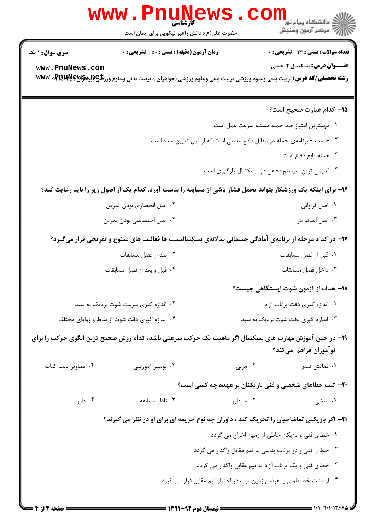|                                                                                                                                 | www.PnuNews.<br><b>کارشناسی</b><br>حضرت علی(ع): دانش راهبر نیکویی برای ایمان است |                                                                                                  | ن<br>ن دانشگاه پیام نور<br>ا<br>رآ مرڪز آزمون وسنڊش                                                                                                                                                                 |  |
|---------------------------------------------------------------------------------------------------------------------------------|----------------------------------------------------------------------------------|--------------------------------------------------------------------------------------------------|---------------------------------------------------------------------------------------------------------------------------------------------------------------------------------------------------------------------|--|
| <b>سری سوال :</b> ۱ یک<br>www.PnuNews.com                                                                                       | <b>زمان آزمون (دقیقه) : تستی : 50 ٪ تشریحی : 0</b>                               |                                                                                                  | تعداد سوالات : تستي : 24 - تشريحي : 0<br><b>عنـــوان درس:</b> بسکتبال ۲-عملی<br><b>رشته تحصیلی/کد درس:</b> تربیت بدنی وعلوم ورزشی،تربیت بدنی وعلوم ورزشی (خواهران )،تربیت بدنی وعلوم ورز <b>تلچ(لِبا%\PRU) WWW.</b> |  |
|                                                                                                                                 |                                                                                  |                                                                                                  | 1۵– کدام عبارت صحیح است؟                                                                                                                                                                                            |  |
|                                                                                                                                 |                                                                                  |                                                                                                  | ٠١ مهمترين امتياز ضد حمله مسئله سرعت عمل است                                                                                                                                                                        |  |
|                                                                                                                                 |                                                                                  | ۰۲ « ست » برنامهی حمله در مقابل دفاع معینی است که از قبل تعیین شده است.                          |                                                                                                                                                                                                                     |  |
|                                                                                                                                 |                                                                                  |                                                                                                  | ۰۳ حمله تابع دفاع است                                                                                                                                                                                               |  |
|                                                                                                                                 |                                                                                  |                                                                                                  | ۰۴ قدیمی ترین سیستم دفاعی در بسکتبال یارگیری است                                                                                                                                                                    |  |
|                                                                                                                                 |                                                                                  |                                                                                                  | ۱۶- برای اینکه یک ورزشکار بتواند تحمل فشار ناشی از مسابقه را بدست آورد، کدام یک از اصول زیر را باید رعایت کند؟                                                                                                      |  |
|                                                                                                                                 | ۰۲ اصل انحصاری بودن تمرین                                                        |                                                                                                  | ۰۱ اصل فراوانی                                                                                                                                                                                                      |  |
|                                                                                                                                 | ۰۴ اصل اختصاصی بودن تمرین                                                        |                                                                                                  | ۰۳ اصل اضافه بار                                                                                                                                                                                                    |  |
|                                                                                                                                 |                                                                                  |                                                                                                  | ۱۷- در کدام مرحله از برنامهی آمادگی جسمانی سالانهی بسکتبالیست ها فعالیت های متنوع و تفریحی قرار میگیرد؟                                                                                                             |  |
|                                                                                                                                 | ۰۲ بعد از فصل مسابقات                                                            |                                                                                                  | ٠١ قبل از فصل مسابقات                                                                                                                                                                                               |  |
|                                                                                                                                 | ۰۴ قبل و بعد از فصل مسابقات                                                      |                                                                                                  | ٠٣ داخل فصل مسابقات                                                                                                                                                                                                 |  |
|                                                                                                                                 |                                                                                  |                                                                                                  | 1۸– هدف از آزمون شوت ایستگاهی چیست؟                                                                                                                                                                                 |  |
| ۰۲ اندازه گیری سرعت شوت نزدیک به سبد                                                                                            |                                                                                  |                                                                                                  | ٠١. اندازه گيري دقت پرتاب آزاد                                                                                                                                                                                      |  |
| ۰۴ اندازه گیری دقت شوت از نقاط و زوایای مختلف                                                                                   |                                                                                  | ۰۳ اندازه گیری دقت شوت نزدیک به سبد                                                              |                                                                                                                                                                                                                     |  |
| ۱۹– در حین آموزش مهارت های بسکتبال اگر ماهیت یک حرکت سرعتی باشد، کدام روش صحیح ترین الگوی حرکت را برای<br>نوآموزان فراهم مىكند؟ |                                                                                  |                                                                                                  |                                                                                                                                                                                                                     |  |
| ۰۴ تصاویر ثابت کتاب                                                                                                             | ۰۳ پوستر آموزشی                                                                  | ۰۲ مربی                                                                                          | <b>۱</b> . نمایش فیلم                                                                                                                                                                                               |  |
|                                                                                                                                 |                                                                                  | <b>۲۰</b> - ثبت خطاهای شخصی و فنی بازیکنان بر عهده چه کسی است؟                                   |                                                                                                                                                                                                                     |  |
| ۰۴ داور                                                                                                                         | ۰۳ ناظر مسابقه                                                                   | ۰۲ سرداور                                                                                        | ۰۱ منشی                                                                                                                                                                                                             |  |
|                                                                                                                                 |                                                                                  | <b>۲۱</b> - اگر بازیکنی تماشاچیان را تحریک کند ، داوران چه نوع جریمه ای برای او در نظر می گیرند؟ |                                                                                                                                                                                                                     |  |
| ٠. خطاي فني و بازيكن خاطي از زمين اخراج مي گردد                                                                                 |                                                                                  |                                                                                                  |                                                                                                                                                                                                                     |  |
| ۰۲ خطای فنی و دو پرتاب پنالتی به تیم مقابل واگذار می گردد                                                                       |                                                                                  |                                                                                                  |                                                                                                                                                                                                                     |  |
| ۰۳ خطای فنی و یک پرتاب آزاد به تیم مقابل واگذار می گردد                                                                         |                                                                                  |                                                                                                  |                                                                                                                                                                                                                     |  |
| ۰۴ از پشت خط طولی یا عرضی زمین توپ در اختیار تیم مقابل قرار می گیرد                                                             |                                                                                  |                                                                                                  |                                                                                                                                                                                                                     |  |
|                                                                                                                                 |                                                                                  |                                                                                                  |                                                                                                                                                                                                                     |  |

1.1.1.1.1268